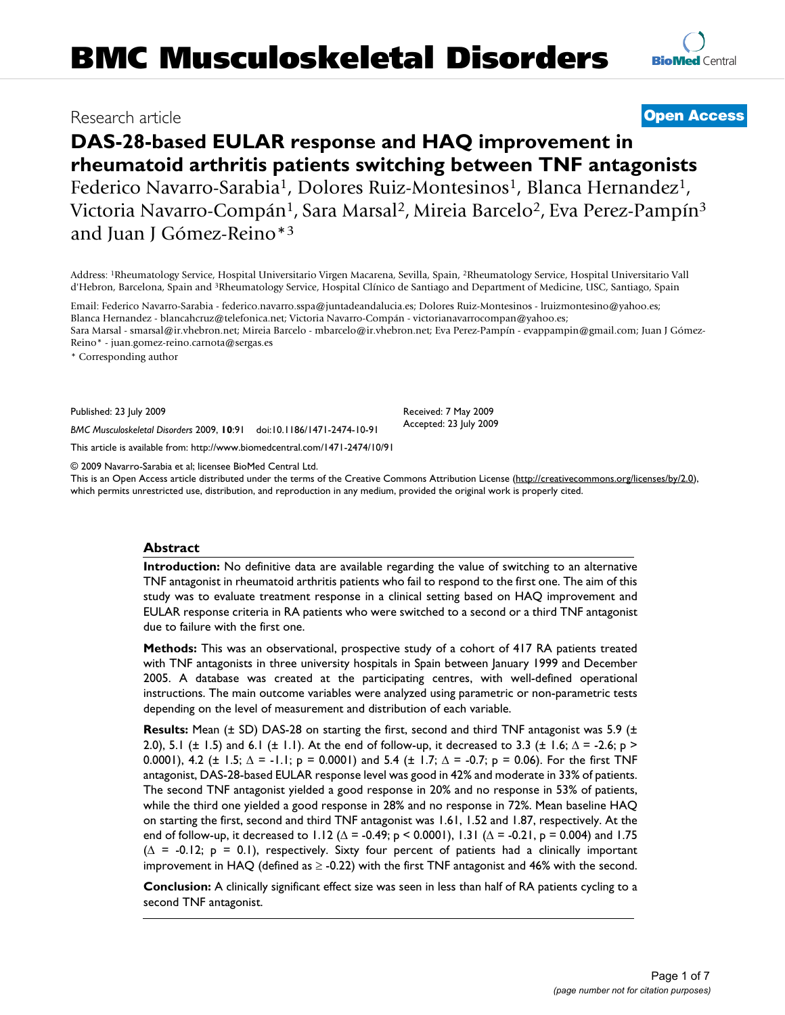# **DAS-28-based EULAR response and HAQ improvement in rheumatoid arthritis patients switching between TNF antagonists** Federico Navarro-Sarabia<sup>1</sup>, Dolores Ruiz-Montesinos<sup>1</sup>, Blanca Hernandez<sup>1</sup>, Victoria Navarro-Compán<sup>1</sup>, Sara Marsal<sup>2</sup>, Mireia Barcelo<sup>2</sup>, Eva Perez-Pampín<sup>3</sup> and Juan J Gómez-Reino\*3

Address: 1Rheumatology Service, Hospital Universitario Virgen Macarena, Sevilla, Spain, 2Rheumatology Service, Hospital Universitario Vall d'Hebron, Barcelona, Spain and 3Rheumatology Service, Hospital Clínico de Santiago and Department of Medicine, USC, Santiago, Spain

Email: Federico Navarro-Sarabia - federico.navarro.sspa@juntadeandalucia.es; Dolores Ruiz-Montesinos - lruizmontesino@yahoo.es; Blanca Hernandez - blancahcruz@telefonica.net; Victoria Navarro-Compán - victorianavarrocompan@yahoo.es; Sara Marsal - smarsal@ir.vhebron.net; Mireia Barcelo - mbarcelo@ir.vhebron.net; Eva Perez-Pampín - evappampin@gmail.com; Juan J Gómez-Reino\* - juan.gomez-reino.carnota@sergas.es

\* Corresponding author

Published: 23 July 2009

*BMC Musculoskeletal Disorders* 2009, **10**:91 doi:10.1186/1471-2474-10-91

[This article is available from: http://www.biomedcentral.com/1471-2474/10/91](http://www.biomedcentral.com/1471-2474/10/91)

© 2009 Navarro-Sarabia et al; licensee BioMed Central Ltd.

This is an Open Access article distributed under the terms of the Creative Commons Attribution License [\(http://creativecommons.org/licenses/by/2.0\)](http://creativecommons.org/licenses/by/2.0), which permits unrestricted use, distribution, and reproduction in any medium, provided the original work is properly cited.

# **Abstract**

**Introduction:** No definitive data are available regarding the value of switching to an alternative TNF antagonist in rheumatoid arthritis patients who fail to respond to the first one. The aim of this study was to evaluate treatment response in a clinical setting based on HAQ improvement and EULAR response criteria in RA patients who were switched to a second or a third TNF antagonist due to failure with the first one.

**Methods:** This was an observational, prospective study of a cohort of 417 RA patients treated with TNF antagonists in three university hospitals in Spain between January 1999 and December 2005. A database was created at the participating centres, with well-defined operational instructions. The main outcome variables were analyzed using parametric or non-parametric tests depending on the level of measurement and distribution of each variable.

**Results:** Mean ( $\pm$  SD) DAS-28 on starting the first, second and third TNF antagonist was 5.9 ( $\pm$ 2.0), 5.1 ( $\pm$  1.5) and 6.1 ( $\pm$  1.1). At the end of follow-up, it decreased to 3.3 ( $\pm$  1.6;  $\Delta$  = -2.6; p > 0.0001), 4.2 ( $\pm$  1.5;  $\Delta$  = -1.1; p = 0.0001) and 5.4 ( $\pm$  1.7;  $\Delta$  = -0.7; p = 0.06). For the first TNF antagonist, DAS-28-based EULAR response level was good in 42% and moderate in 33% of patients. The second TNF antagonist yielded a good response in 20% and no response in 53% of patients, while the third one yielded a good response in 28% and no response in 72%. Mean baseline HAQ on starting the first, second and third TNF antagonist was 1.61, 1.52 and 1.87, respectively. At the end of follow-up, it decreased to 1.12 ( $\Delta$  = -0.49; p < 0.0001), 1.31 ( $\Delta$  = -0.21, p = 0.004) and 1.75 (Δ = -0.12; p = 0.1), respectively. Sixty four percent of patients had a clinically important improvement in HAQ (defined as  $\geq$  -0.22) with the first TNF antagonist and 46% with the second.

**Conclusion:** A clinically significant effect size was seen in less than half of RA patients cycling to a second TNF antagonist.

# Research article **[Open Access](http://www.biomedcentral.com/info/about/charter/)**

Received: 7 May 2009 Accepted: 23 July 2009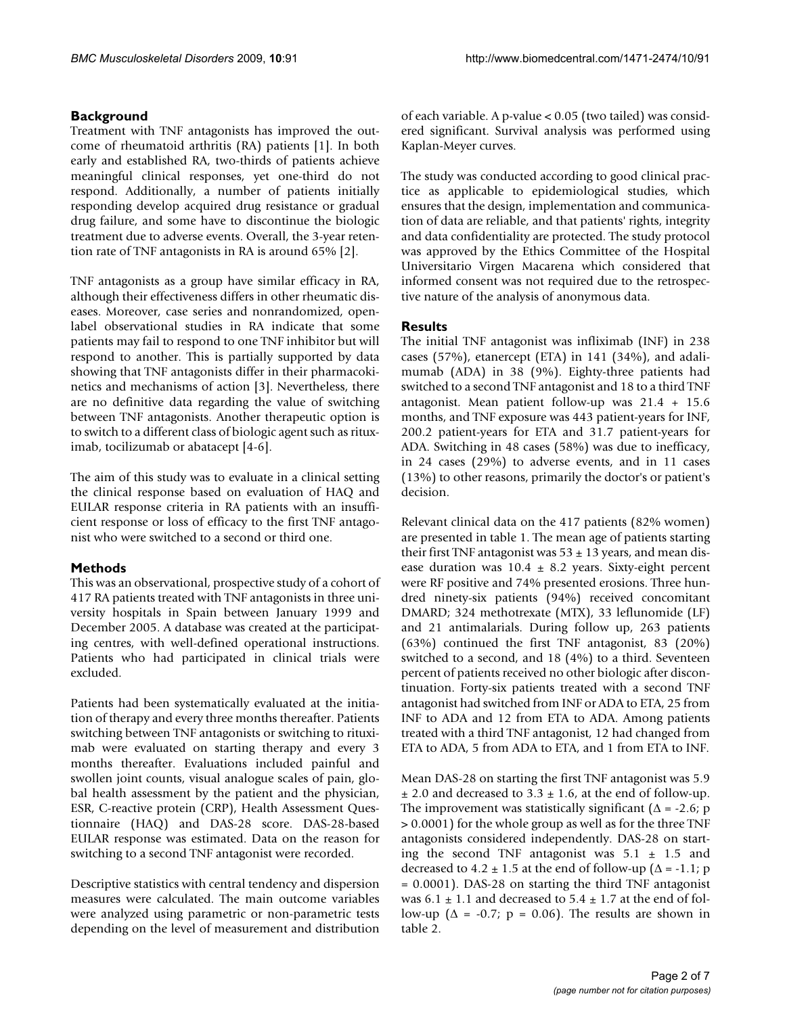# **Background**

Treatment with TNF antagonists has improved the outcome of rheumatoid arthritis (RA) patients [1]. In both early and established RA, two-thirds of patients achieve meaningful clinical responses, yet one-third do not respond. Additionally, a number of patients initially responding develop acquired drug resistance or gradual drug failure, and some have to discontinue the biologic treatment due to adverse events. Overall, the 3-year retention rate of TNF antagonists in RA is around 65% [2].

TNF antagonists as a group have similar efficacy in RA, although their effectiveness differs in other rheumatic diseases. Moreover, case series and nonrandomized, openlabel observational studies in RA indicate that some patients may fail to respond to one TNF inhibitor but will respond to another. This is partially supported by data showing that TNF antagonists differ in their pharmacokinetics and mechanisms of action [3]. Nevertheless, there are no definitive data regarding the value of switching between TNF antagonists. Another therapeutic option is to switch to a different class of biologic agent such as rituximab, tocilizumab or abatacept [4-6].

The aim of this study was to evaluate in a clinical setting the clinical response based on evaluation of HAQ and EULAR response criteria in RA patients with an insufficient response or loss of efficacy to the first TNF antagonist who were switched to a second or third one.

# **Methods**

This was an observational, prospective study of a cohort of 417 RA patients treated with TNF antagonists in three university hospitals in Spain between January 1999 and December 2005. A database was created at the participating centres, with well-defined operational instructions. Patients who had participated in clinical trials were excluded.

Patients had been systematically evaluated at the initiation of therapy and every three months thereafter. Patients switching between TNF antagonists or switching to rituximab were evaluated on starting therapy and every 3 months thereafter. Evaluations included painful and swollen joint counts, visual analogue scales of pain, global health assessment by the patient and the physician, ESR, C-reactive protein (CRP), Health Assessment Questionnaire (HAQ) and DAS-28 score. DAS-28-based EULAR response was estimated. Data on the reason for switching to a second TNF antagonist were recorded.

Descriptive statistics with central tendency and dispersion measures were calculated. The main outcome variables were analyzed using parametric or non-parametric tests depending on the level of measurement and distribution

of each variable. A p-value < 0.05 (two tailed) was considered significant. Survival analysis was performed using Kaplan-Meyer curves.

The study was conducted according to good clinical practice as applicable to epidemiological studies, which ensures that the design, implementation and communication of data are reliable, and that patients' rights, integrity and data confidentiality are protected. The study protocol was approved by the Ethics Committee of the Hospital Universitario Virgen Macarena which considered that informed consent was not required due to the retrospective nature of the analysis of anonymous data.

# **Results**

The initial TNF antagonist was infliximab (INF) in 238 cases (57%), etanercept (ETA) in 141 (34%), and adalimumab (ADA) in 38 (9%). Eighty-three patients had switched to a second TNF antagonist and 18 to a third TNF antagonist. Mean patient follow-up was 21.4 + 15.6 months, and TNF exposure was 443 patient-years for INF, 200.2 patient-years for ETA and 31.7 patient-years for ADA. Switching in 48 cases (58%) was due to inefficacy, in 24 cases (29%) to adverse events, and in 11 cases (13%) to other reasons, primarily the doctor's or patient's decision.

Relevant clinical data on the 417 patients (82% women) are presented in table 1. The mean age of patients starting their first TNF antagonist was  $53 \pm 13$  years, and mean disease duration was  $10.4 \pm 8.2$  years. Sixty-eight percent were RF positive and 74% presented erosions. Three hundred ninety-six patients (94%) received concomitant DMARD; 324 methotrexate (MTX), 33 leflunomide (LF) and 21 antimalarials. During follow up, 263 patients (63%) continued the first TNF antagonist, 83 (20%) switched to a second, and 18 (4%) to a third. Seventeen percent of patients received no other biologic after discontinuation. Forty-six patients treated with a second TNF antagonist had switched from INF or ADA to ETA, 25 from INF to ADA and 12 from ETA to ADA. Among patients treated with a third TNF antagonist, 12 had changed from ETA to ADA, 5 from ADA to ETA, and 1 from ETA to INF.

Mean DAS-28 on starting the first TNF antagonist was 5.9  $\pm$  2.0 and decreased to 3.3  $\pm$  1.6, at the end of follow-up. The improvement was statistically significant ( $\Delta$  = -2.6; p > 0.0001) for the whole group as well as for the three TNF antagonists considered independently. DAS-28 on starting the second TNF antagonist was  $5.1 \pm 1.5$  and decreased to 4.2  $\pm$  1.5 at the end of follow-up ( $\Delta$  = -1.1; p = 0.0001). DAS-28 on starting the third TNF antagonist was  $6.1 \pm 1.1$  and decreased to  $5.4 \pm 1.7$  at the end of follow-up ( $\Delta$  = -0.7; p = 0.06). The results are shown in table 2.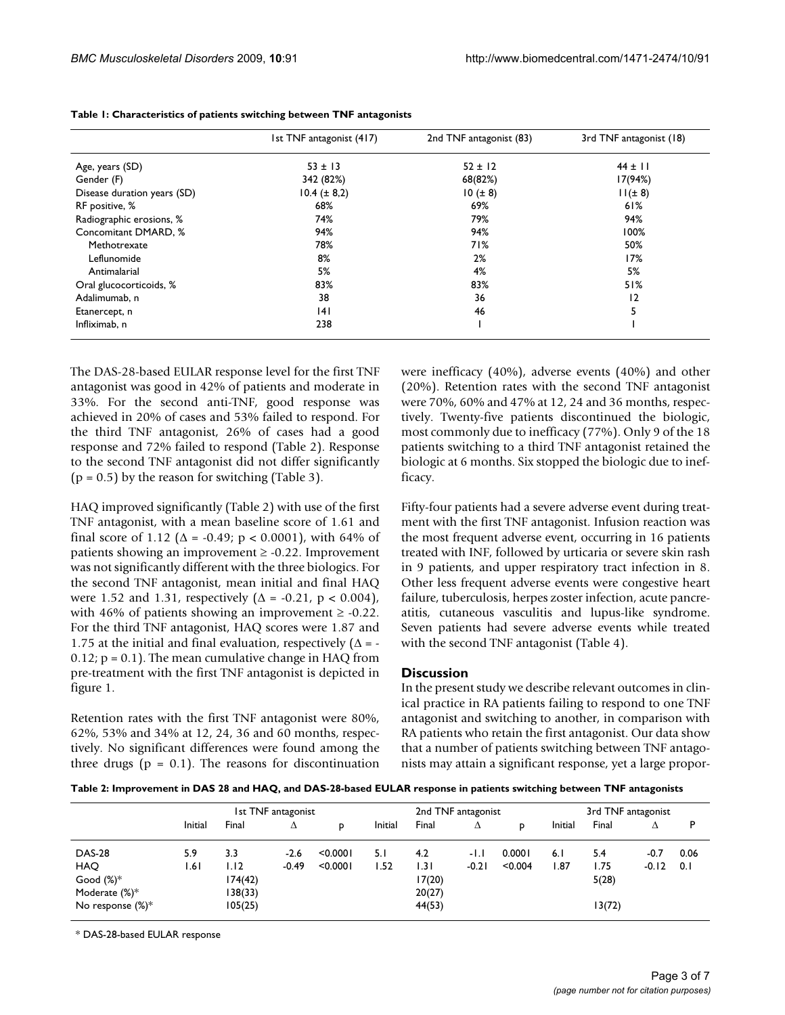|                             | 1st TNF antagonist (417) | 2nd TNF antagonist (83) | 3rd TNF antagonist (18) |  |
|-----------------------------|--------------------------|-------------------------|-------------------------|--|
| Age, years (SD)             | $53 \pm 13$              | $52 \pm 12$             | $44 \pm 11$             |  |
| Gender (F)                  | 342 (82%)                | 68(82%)                 | 17(94%)                 |  |
| Disease duration years (SD) | $10.4 (\pm 8.2)$         | $10 (\pm 8)$            | $11(\pm 8)$             |  |
| RF positive, %              | 68%                      | 69%                     | 61%                     |  |
| Radiographic erosions, %    | 74%                      | 79%                     | 94%                     |  |
| Concomitant DMARD, %        | 94%                      | 94%                     | 100%                    |  |
| Methotrexate                | 78%                      | 71%                     | 50%                     |  |
| Leflunomide                 | 8%                       | 2%                      | 17%                     |  |
| Antimalarial                | 5%                       | 4%                      | 5%                      |  |
| Oral glucocorticoids, %     | 83%                      | 83%                     | 51%                     |  |
| Adalimumab, n               | 38                       | 36                      | 2                       |  |
| Etanercept, n               | 4                        | 46                      | 5                       |  |
| Infliximab, n               | 238                      |                         |                         |  |

**Table 1: Characteristics of patients switching between TNF antagonists**

The DAS-28-based EULAR response level for the first TNF antagonist was good in 42% of patients and moderate in 33%. For the second anti-TNF, good response was achieved in 20% of cases and 53% failed to respond. For the third TNF antagonist, 26% of cases had a good response and 72% failed to respond (Table 2). Response to the second TNF antagonist did not differ significantly  $(p = 0.5)$  by the reason for switching (Table 3).

HAQ improved significantly (Table 2) with use of the first TNF antagonist, with a mean baseline score of 1.61 and final score of 1.12 ( $\Delta$  = -0.49; p < 0.0001), with 64% of patients showing an improvement  $\geq -0.22$ . Improvement was not significantly different with the three biologics. For the second TNF antagonist, mean initial and final HAQ were 1.52 and 1.31, respectively ( $\Delta$  = -0.21, p < 0.004), with 46% of patients showing an improvement  $\geq$  -0.22. For the third TNF antagonist, HAQ scores were 1.87 and 1.75 at the initial and final evaluation, respectively  $(\Delta = -\frac{1}{2})$  $0.12$ ;  $p = 0.1$ ). The mean cumulative change in HAQ from pre-treatment with the first TNF antagonist is depicted in figure 1.

Retention rates with the first TNF antagonist were 80%, 62%, 53% and 34% at 12, 24, 36 and 60 months, respectively. No significant differences were found among the three drugs ( $p = 0.1$ ). The reasons for discontinuation were inefficacy (40%), adverse events (40%) and other (20%). Retention rates with the second TNF antagonist were 70%, 60% and 47% at 12, 24 and 36 months, respectively. Twenty-five patients discontinued the biologic, most commonly due to inefficacy (77%). Only 9 of the 18 patients switching to a third TNF antagonist retained the biologic at 6 months. Six stopped the biologic due to inefficacy.

Fifty-four patients had a severe adverse event during treatment with the first TNF antagonist. Infusion reaction was the most frequent adverse event, occurring in 16 patients treated with INF, followed by urticaria or severe skin rash in 9 patients, and upper respiratory tract infection in 8. Other less frequent adverse events were congestive heart failure, tuberculosis, herpes zoster infection, acute pancreatitis, cutaneous vasculitis and lupus-like syndrome. Seven patients had severe adverse events while treated with the second TNF antagonist (Table 4).

## **Discussion**

In the present study we describe relevant outcomes in clinical practice in RA patients failing to respond to one TNF antagonist and switching to another, in comparison with RA patients who retain the first antagonist. Our data show that a number of patients switching between TNF antagonists may attain a significant response, yet a large propor-

**Table 2: Improvement in DAS 28 and HAQ, and DAS-28-based EULAR response in patients switching between TNF antagonists**

|                      |         |         | 1st TNF antagonist |          |         | 2nd TNF antagonist |         |         |         | 3rd TNF antagonist |         |      |
|----------------------|---------|---------|--------------------|----------|---------|--------------------|---------|---------|---------|--------------------|---------|------|
|                      | Initial | Final   | Δ                  | D        | Initial | Final              | Δ       |         | Initial | Final              | Δ       | Þ    |
| <b>DAS-28</b>        | 5.9     | 3.3     | $-2.6$             | < 0.0001 | 5. I    | 4.2                | -1.1    | 0.0001  | 6.1     | 5.4                | $-0.7$  | 0.06 |
| <b>HAO</b>           | ا 6. ا  | 1.12    | $-0.49$            | < 0.0001 | 1.52    | I.3 I              | $-0.21$ | < 0.004 | 1.87    | l.75               | $-0.12$ | 0.1  |
| Good $(\%)^*$        |         | 174(42) |                    |          |         | 17(20)             |         |         |         | 5(28)              |         |      |
| Moderate $(\%)^*$    |         | 138(33) |                    |          |         | 20(27)             |         |         |         |                    |         |      |
| No response $(\%)^*$ |         | 105(25) |                    |          |         | 44(53)             |         |         |         | 13(72)             |         |      |

\* DAS-28-based EULAR response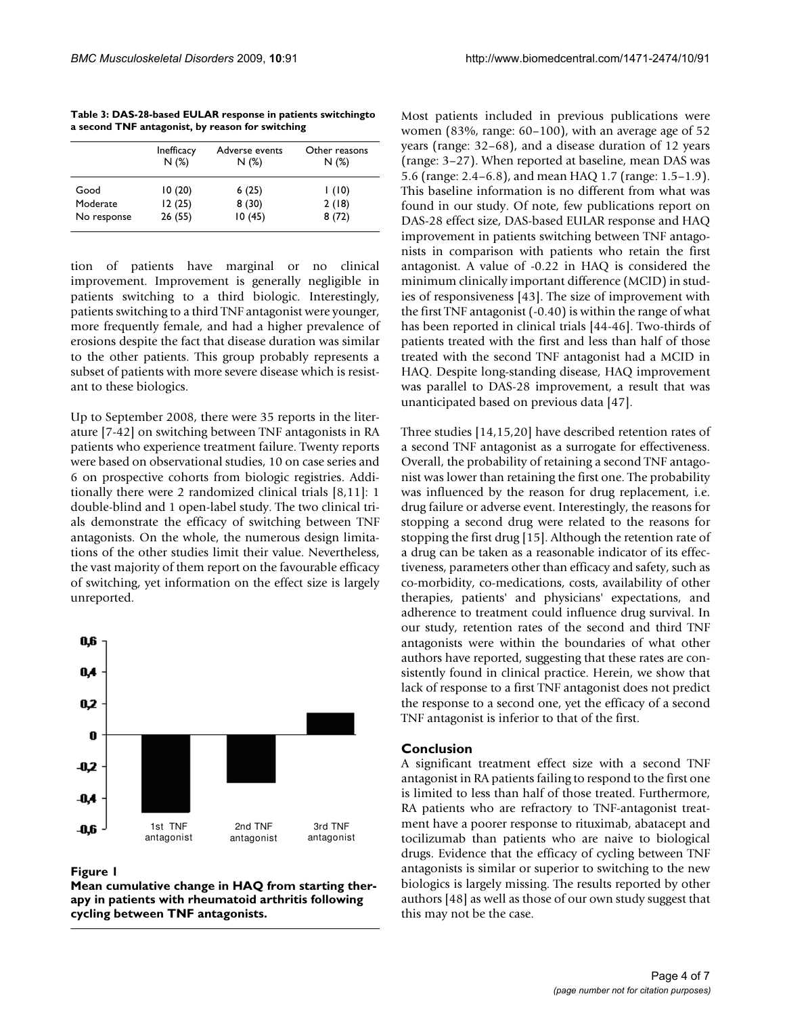|             | Inefficacy<br>N(%) | Adverse events<br>N(%) | Other reasons<br>N(%) |
|-------------|--------------------|------------------------|-----------------------|
| Good        | 10 (20)            | 6(25)                  | 1(10)                 |
| Moderate    | 12(25)             | 8(30)                  | 2(18)                 |
| No response | 26(55)             | 10(45)                 | 8(72)                 |

**Table 3: DAS-28-based EULAR response in patients switchingto a second TNF antagonist, by reason for switching**

tion of patients have marginal or no clinical improvement. Improvement is generally negligible in patients switching to a third biologic. Interestingly, patients switching to a third TNF antagonist were younger, more frequently female, and had a higher prevalence of erosions despite the fact that disease duration was similar to the other patients. This group probably represents a subset of patients with more severe disease which is resistant to these biologics.

Up to September 2008, there were 35 reports in the literature [7-42] on switching between TNF antagonists in RA patients who experience treatment failure. Twenty reports were based on observational studies, 10 on case series and 6 on prospective cohorts from biologic registries. Additionally there were 2 randomized clinical trials [8,11]: 1 double-blind and 1 open-label study. The two clinical trials demonstrate the efficacy of switching between TNF antagonists. On the whole, the numerous design limitations of the other studies limit their value. Nevertheless, the vast majority of them report on the favourable efficacy of switching, yet information on the effect size is largely unreported.



Figure 1

**Mean cumulative change in HAQ from starting therapy in patients with rheumatoid arthritis following cycling between TNF antagonists.**

Most patients included in previous publications were women (83%, range: 60–100), with an average age of 52 years (range: 32–68), and a disease duration of 12 years (range: 3–27). When reported at baseline, mean DAS was 5.6 (range: 2.4–6.8), and mean HAQ 1.7 (range: 1.5–1.9). This baseline information is no different from what was found in our study. Of note, few publications report on DAS-28 effect size, DAS-based EULAR response and HAQ improvement in patients switching between TNF antagonists in comparison with patients who retain the first antagonist. A value of -0.22 in HAQ is considered the minimum clinically important difference (MCID) in studies of responsiveness [43]. The size of improvement with the first TNF antagonist (-0.40) is within the range of what has been reported in clinical trials [44-46]. Two-thirds of patients treated with the first and less than half of those treated with the second TNF antagonist had a MCID in HAQ. Despite long-standing disease, HAQ improvement was parallel to DAS-28 improvement, a result that was unanticipated based on previous data [47].

Three studies [14,15,20] have described retention rates of a second TNF antagonist as a surrogate for effectiveness. Overall, the probability of retaining a second TNF antagonist was lower than retaining the first one. The probability was influenced by the reason for drug replacement, i.e. drug failure or adverse event. Interestingly, the reasons for stopping a second drug were related to the reasons for stopping the first drug [15]. Although the retention rate of a drug can be taken as a reasonable indicator of its effectiveness, parameters other than efficacy and safety, such as co-morbidity, co-medications, costs, availability of other therapies, patients' and physicians' expectations, and adherence to treatment could influence drug survival. In our study, retention rates of the second and third TNF antagonists were within the boundaries of what other authors have reported, suggesting that these rates are consistently found in clinical practice. Herein, we show that lack of response to a first TNF antagonist does not predict the response to a second one, yet the efficacy of a second TNF antagonist is inferior to that of the first.

# **Conclusion**

A significant treatment effect size with a second TNF antagonist in RA patients failing to respond to the first one is limited to less than half of those treated. Furthermore, RA patients who are refractory to TNF-antagonist treatment have a poorer response to rituximab, abatacept and tocilizumab than patients who are naive to biological drugs. Evidence that the efficacy of cycling between TNF antagonists is similar or superior to switching to the new biologics is largely missing. The results reported by other authors [48] as well as those of our own study suggest that this may not be the case.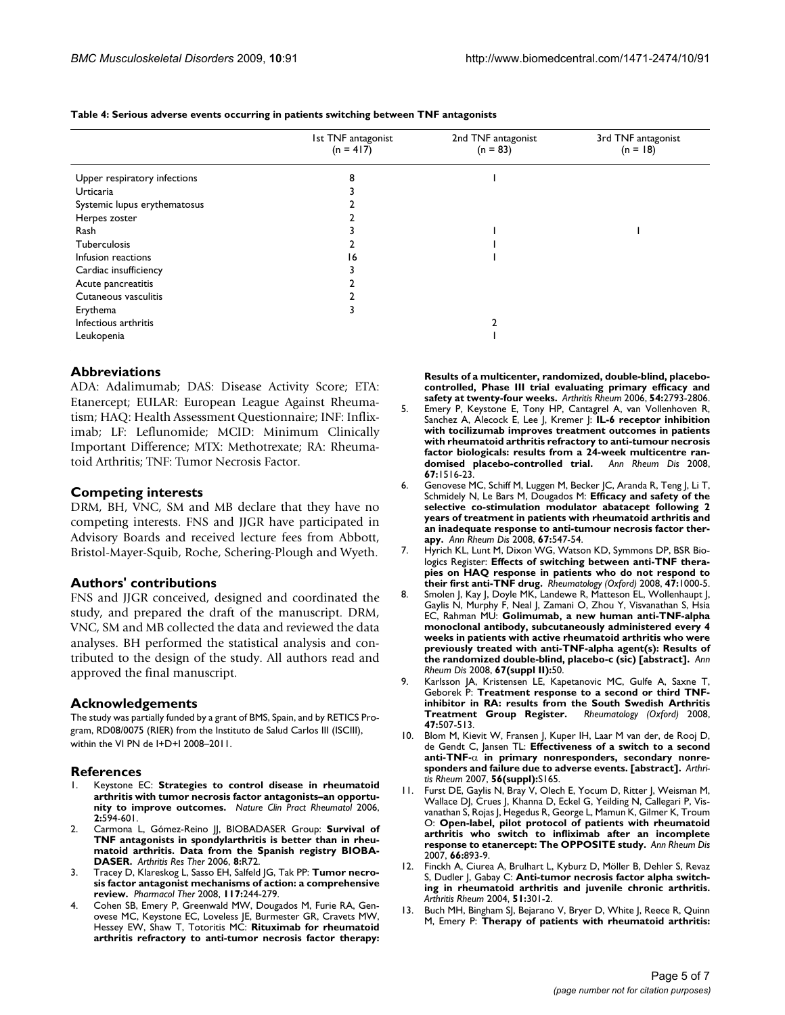|                              | 1st TNF antagonist<br>$(n = 417)$ | 2nd TNF antagonist<br>$(n = 83)$ | 3rd TNF antagonist<br>$(n = 18)$ |  |
|------------------------------|-----------------------------------|----------------------------------|----------------------------------|--|
| Upper respiratory infections | 8                                 |                                  |                                  |  |
| Urticaria                    |                                   |                                  |                                  |  |
| Systemic lupus erythematosus |                                   |                                  |                                  |  |
| Herpes zoster                |                                   |                                  |                                  |  |
| Rash                         |                                   |                                  |                                  |  |
| Tuberculosis                 |                                   |                                  |                                  |  |
| Infusion reactions           | 16                                |                                  |                                  |  |
| Cardiac insufficiency        |                                   |                                  |                                  |  |
| Acute pancreatitis           |                                   |                                  |                                  |  |
| Cutaneous vasculitis         |                                   |                                  |                                  |  |
| Erythema                     |                                   |                                  |                                  |  |
| Infectious arthritis         |                                   |                                  |                                  |  |
| Leukopenia                   |                                   |                                  |                                  |  |

**Table 4: Serious adverse events occurring in patients switching between TNF antagonists**

## **Abbreviations**

ADA: Adalimumab; DAS: Disease Activity Score; ETA: Etanercept; EULAR: European League Against Rheumatism; HAQ: Health Assessment Questionnaire; INF: Infliximab; LF: Leflunomide; MCID: Minimum Clinically Important Difference; MTX: Methotrexate; RA: Rheumatoid Arthritis; TNF: Tumor Necrosis Factor.

#### **Competing interests**

DRM, BH, VNC, SM and MB declare that they have no competing interests. FNS and JJGR have participated in Advisory Boards and received lecture fees from Abbott, Bristol-Mayer-Squib, Roche, Schering-Plough and Wyeth.

## **Authors' contributions**

FNS and JJGR conceived, designed and coordinated the study, and prepared the draft of the manuscript. DRM, VNC, SM and MB collected the data and reviewed the data analyses. BH performed the statistical analysis and contributed to the design of the study. All authors read and approved the final manuscript.

## **Acknowledgements**

The study was partially funded by a grant of BMS, Spain, and by RETICS Program, RD08/0075 (RIER) from the Instituto de Salud Carlos III (ISCIII), within the VI PN de I+D+I 2008–2011.

#### **References**

- 1. Keystone EC: **Strategies to control disease in rheumatoid arthritis with tumor necrosis factor antagonists–an opportunity to improve outcomes.** *Nature Clin Pract Rheumatol* 2006, **2:**594-601.
- 2. Carmona L, Gómez-Reino JJ, BIOBADASER Group: **[Survival of](http://www.ncbi.nlm.nih.gov/entrez/query.fcgi?cmd=Retrieve&db=PubMed&dopt=Abstract&list_uids=16620398) [TNF antagonists in spondylarthritis is better than in rheu](http://www.ncbi.nlm.nih.gov/entrez/query.fcgi?cmd=Retrieve&db=PubMed&dopt=Abstract&list_uids=16620398)matoid arthritis. Data from the Spanish registry BIOBA-[DASER.](http://www.ncbi.nlm.nih.gov/entrez/query.fcgi?cmd=Retrieve&db=PubMed&dopt=Abstract&list_uids=16620398)** *Arthritis Res Ther* 2006, **8:**R72.
- 3. Tracey D, Klareskog L, Sasso EH, Salfeld JG, Tak PP: **[Tumor necro](http://www.ncbi.nlm.nih.gov/entrez/query.fcgi?cmd=Retrieve&db=PubMed&dopt=Abstract&list_uids=18155297)[sis factor antagonist mechanisms of action: a comprehensive](http://www.ncbi.nlm.nih.gov/entrez/query.fcgi?cmd=Retrieve&db=PubMed&dopt=Abstract&list_uids=18155297) [review.](http://www.ncbi.nlm.nih.gov/entrez/query.fcgi?cmd=Retrieve&db=PubMed&dopt=Abstract&list_uids=18155297)** *Pharmacol Ther* 2008, **117:**244-279.
- 4. Cohen SB, Emery P, Greenwald MW, Dougados M, Furie RA, Genovese MC, Keystone EC, Loveless JE, Burmester GR, Cravets MW, Hessey EW, Shaw T, Totoritis MC: **[Rituximab for rheumatoid](http://www.ncbi.nlm.nih.gov/entrez/query.fcgi?cmd=Retrieve&db=PubMed&dopt=Abstract&list_uids=16947627) [arthritis refractory to anti-tumor necrosis factor therapy:](http://www.ncbi.nlm.nih.gov/entrez/query.fcgi?cmd=Retrieve&db=PubMed&dopt=Abstract&list_uids=16947627)**

**[Results of a multicenter, randomized, double-blind, placebo](http://www.ncbi.nlm.nih.gov/entrez/query.fcgi?cmd=Retrieve&db=PubMed&dopt=Abstract&list_uids=16947627)controlled, Phase III trial evaluating primary efficacy and [safety at twenty-four weeks.](http://www.ncbi.nlm.nih.gov/entrez/query.fcgi?cmd=Retrieve&db=PubMed&dopt=Abstract&list_uids=16947627)** *Arthritis Rheum* 2006, **54:**2793-2806.

- 5. Emery P, Keystone E, Tony HP, Cantagrel A, van Vollenhoven R, Sanchez A, Alecock E, Lee J, Kremer J: **[IL-6 receptor inhibition](http://www.ncbi.nlm.nih.gov/entrez/query.fcgi?cmd=Retrieve&db=PubMed&dopt=Abstract&list_uids=18625622) [with tocilizumab improves treatment outcomes in patients](http://www.ncbi.nlm.nih.gov/entrez/query.fcgi?cmd=Retrieve&db=PubMed&dopt=Abstract&list_uids=18625622) with rheumatoid arthritis refractory to anti-tumour necrosis factor biologicals: results from a 24-week multicentre ran[domised placebo-controlled trial.](http://www.ncbi.nlm.nih.gov/entrez/query.fcgi?cmd=Retrieve&db=PubMed&dopt=Abstract&list_uids=18625622)** *Ann Rheum Dis* 2008, **67:**1516-23.
- 6. Genovese MC, Schiff M, Luggen M, Becker JC, Aranda R, Teng J, Li T, Schmidely N, Le Bars M, Dougados M: **[Efficacy and safety of the](http://www.ncbi.nlm.nih.gov/entrez/query.fcgi?cmd=Retrieve&db=PubMed&dopt=Abstract&list_uids=17921185) [selective co-stimulation modulator abatacept following 2](http://www.ncbi.nlm.nih.gov/entrez/query.fcgi?cmd=Retrieve&db=PubMed&dopt=Abstract&list_uids=17921185) years of treatment in patients with rheumatoid arthritis and an inadequate response to anti-tumour necrosis factor ther[apy.](http://www.ncbi.nlm.nih.gov/entrez/query.fcgi?cmd=Retrieve&db=PubMed&dopt=Abstract&list_uids=17921185)** *Ann Rheum Dis* 2008, **67:**547-54.
- 7. Hyrich KL, Lunt M, Dixon WG, Watson KD, Symmons DP, BSR Biologics Register: **[Effects of switching between anti-TNF thera](http://www.ncbi.nlm.nih.gov/entrez/query.fcgi?cmd=Retrieve&db=PubMed&dopt=Abstract&list_uids=18420660)[pies on HAQ response in patients who do not respond to](http://www.ncbi.nlm.nih.gov/entrez/query.fcgi?cmd=Retrieve&db=PubMed&dopt=Abstract&list_uids=18420660) [their first anti-TNF drug.](http://www.ncbi.nlm.nih.gov/entrez/query.fcgi?cmd=Retrieve&db=PubMed&dopt=Abstract&list_uids=18420660)** *Rheumatology (Oxford)* 2008, **47:**1000-5.
- 8. Smolen J, Kay J, Doyle MK, Landewe R, Matteson EL, Wollenhaupt J, Gaylis N, Murphy F, Neal J, Zamani O, Zhou Y, Visvanathan S, Hsia EC, Rahman MU: **Golimumab, a new human anti-TNF-alpha monoclonal antibody, subcutaneously administered every 4 weeks in patients with active rheumatoid arthritis who were previously treated with anti-TNF-alpha agent(s): Results of the randomized double-blind, placebo-c (sic) [abstract].** *Ann Rheum Dis* 2008, **67(suppl II):**50.
- 9. Karlsson JA, Kristensen LE, Kapetanovic MC, Gulfe A, Saxne T, Geborek P: **[Treatment response to a second or third TNF](http://www.ncbi.nlm.nih.gov/entrez/query.fcgi?cmd=Retrieve&db=PubMed&dopt=Abstract&list_uids=18304941)[inhibitor in RA: results from the South Swedish Arthritis](http://www.ncbi.nlm.nih.gov/entrez/query.fcgi?cmd=Retrieve&db=PubMed&dopt=Abstract&list_uids=18304941) [Treatment Group Register.](http://www.ncbi.nlm.nih.gov/entrez/query.fcgi?cmd=Retrieve&db=PubMed&dopt=Abstract&list_uids=18304941)** *Rheumatology (Oxford)* 2008, **47:**507-513.
- 10. Blom M, Kievit W, Fransen J, Kuper IH, Laar M van der, de Rooj D, de Gendt C, Jansen TL: **Effectiveness of a switch to a second anti-TNF-**α **in primary nonresponders, secondary nonresponders and failure due to adverse events. [abstract].** *Arthritis Rheum* 2007, **56(suppl):**S165.
- 11. Furst DE, Gaylis N, Bray V, Olech E, Yocum D, Ritter J, Weisman M, Wallace DJ, Crues J, Khanna D, Eckel G, Yeilding N, Callegari P, Visvanathan S, Rojas J, Hegedus R, George L, Mamun K, Gilmer K, Troum O: **[Open-label, pilot protocol of patients with rheumatoid](http://www.ncbi.nlm.nih.gov/entrez/query.fcgi?cmd=Retrieve&db=PubMed&dopt=Abstract&list_uids=17412737) [arthritis who switch to infliximab after an incomplete](http://www.ncbi.nlm.nih.gov/entrez/query.fcgi?cmd=Retrieve&db=PubMed&dopt=Abstract&list_uids=17412737) [response to etanercept: The OPPOSITE study.](http://www.ncbi.nlm.nih.gov/entrez/query.fcgi?cmd=Retrieve&db=PubMed&dopt=Abstract&list_uids=17412737)** *Ann Rheum Dis* 2007, **66:**893-9.
- 12. Finckh A, Ciurea A, Brulhart L, Kyburz D, Möller B, Dehler S, Revaz S, Dudler J, Gabay C: **[Anti-tumor necrosis factor alpha switch](http://www.ncbi.nlm.nih.gov/entrez/query.fcgi?cmd=Retrieve&db=PubMed&dopt=Abstract&list_uids=15077278)[ing in rheumatoid arthritis and juvenile chronic arthritis.](http://www.ncbi.nlm.nih.gov/entrez/query.fcgi?cmd=Retrieve&db=PubMed&dopt=Abstract&list_uids=15077278)** *Arthritis Rheum* 2004, **51:**301-2.
- Buch MH, Bingham SJ, Bejarano V, Bryer D, White J, Reece R, Quinn M, Emery P: **[Therapy of patients with rheumatoid arthritis:](http://www.ncbi.nlm.nih.gov/entrez/query.fcgi?cmd=Retrieve&db=PubMed&dopt=Abstract&list_uids=17394231)**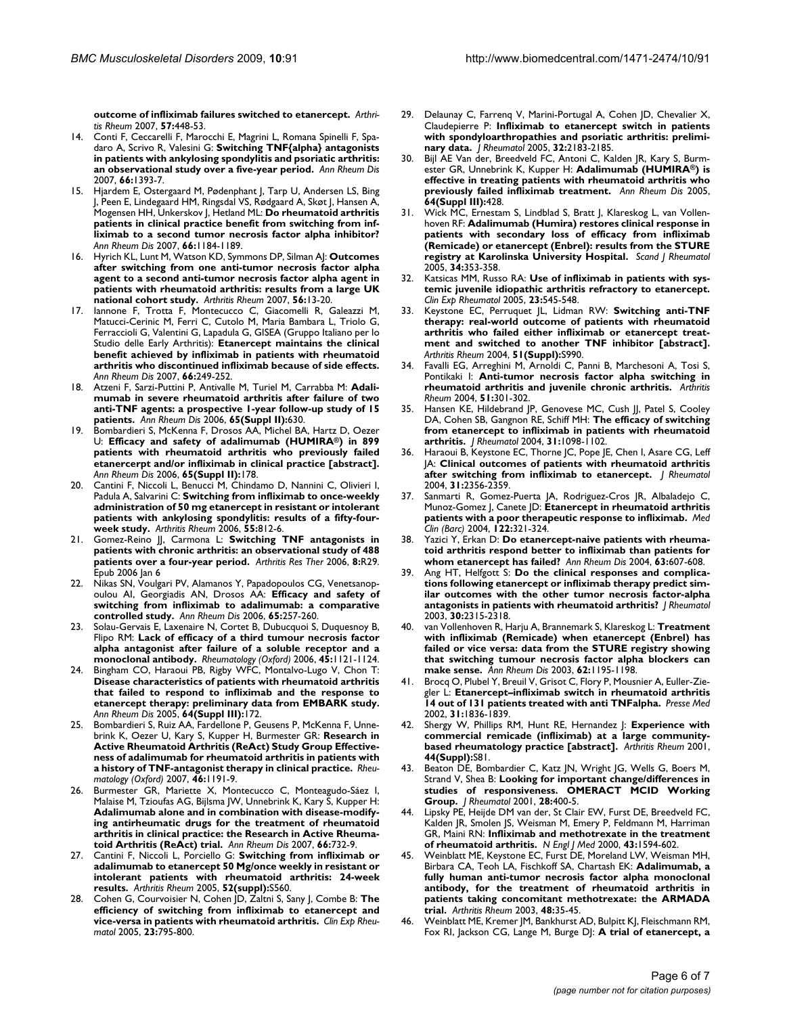**[outcome of infliximab failures switched to etanercept.](http://www.ncbi.nlm.nih.gov/entrez/query.fcgi?cmd=Retrieve&db=PubMed&dopt=Abstract&list_uids=17394231)** *Arthritis Rheum* 2007, **57:**448-53.

- 14. Conti F, Ceccarelli F, Marocchi E, Magrini L, Romana Spinelli F, Spadaro A, Scrivo R, Valesini G: **[Switching TNF{alpha} antagonists](http://www.ncbi.nlm.nih.gov/entrez/query.fcgi?cmd=Retrieve&db=PubMed&dopt=Abstract&list_uids=17613555) [in patients with ankylosing spondylitis and psoriatic arthritis:](http://www.ncbi.nlm.nih.gov/entrez/query.fcgi?cmd=Retrieve&db=PubMed&dopt=Abstract&list_uids=17613555) [an observational study over a five-year period.](http://www.ncbi.nlm.nih.gov/entrez/query.fcgi?cmd=Retrieve&db=PubMed&dopt=Abstract&list_uids=17613555)** *Ann Rheum Dis* 2007, **66:**1393-7.
- 15. Hjardem E, Ostergaard M, Pødenphant J, Tarp U, Andersen LS, Bing J, Peen E, Lindegaard HM, Ringsdal VS, Rødgaard A, Skøt J, Hansen A, Mogensen HH, Unkerskov J, Hetland ML: **[Do rheumatoid arthritis](http://www.ncbi.nlm.nih.gov/entrez/query.fcgi?cmd=Retrieve&db=PubMed&dopt=Abstract&list_uids=17389656) patients in clinical practice benefit from switching from inf[liximab to a second tumor necrosis factor alpha inhibitor?](http://www.ncbi.nlm.nih.gov/entrez/query.fcgi?cmd=Retrieve&db=PubMed&dopt=Abstract&list_uids=17389656)** *Ann Rheum Dis* 2007, **66:**1184-1189.
- 16. Hyrich KL, Lunt M, Watson KD, Symmons DP, Silman AJ: **[Outcomes](http://www.ncbi.nlm.nih.gov/entrez/query.fcgi?cmd=Retrieve&db=PubMed&dopt=Abstract&list_uids=17195186) [after switching from one anti-tumor necrosis factor alpha](http://www.ncbi.nlm.nih.gov/entrez/query.fcgi?cmd=Retrieve&db=PubMed&dopt=Abstract&list_uids=17195186) agent to a second anti-tumor necrosis factor alpha agent in patients with rheumatoid arthritis: results from a large UK [national cohort study.](http://www.ncbi.nlm.nih.gov/entrez/query.fcgi?cmd=Retrieve&db=PubMed&dopt=Abstract&list_uids=17195186)** *Arthritis Rheum* 2007, **56:**13-20.
- 17. Iannone F, Trotta F, Montecucco C, Giacomelli R, Galeazzi M, Matucci-Cerinic M, Ferri C, Cutolo M, Maria Bambara L, Triolo G, Ferraccioli G, Valentini G, Lapadula G, GISEA (Gruppo Italiano per lo Studio delle Early Arthritis): **[Etanercept maintains the clinical](http://www.ncbi.nlm.nih.gov/entrez/query.fcgi?cmd=Retrieve&db=PubMed&dopt=Abstract&list_uids=16837489) [benefit achieved by infliximab in patients with rheumatoid](http://www.ncbi.nlm.nih.gov/entrez/query.fcgi?cmd=Retrieve&db=PubMed&dopt=Abstract&list_uids=16837489) arthritis who discontinued infliximab because of side effects.** *Ann Rheum Dis* 2007, **66:**249-252.
- 18. Atzeni F, Sarzi-Puttini P, Antivalle M, Turiel M, Carrabba M: **Adalimumab in severe rheumatoid arthritis after failure of two anti-TNF agents: a prospective 1-year follow-up study of 15 patients.** *Ann Rheum Dis* 2006, **65(Suppl II):**630.
- 19. Bombardieri S, McKenna F, Drosos AA, Michel BA, Hartz D, Oezer U: **Efficacy and safety of adalimumab (HUMIRA®) in 899 patients with rheumatoid arthritis who previously failed etanercerpt and/or infliximab in clinical practice [abstract].** *Ann Rheum Dis* 2006, **65(Suppl II):**178.
- 20. Cantini F, Niccoli L, Benucci M, Chindamo D, Nannini C, Olivieri I, Padula A, Salvarini C: **[Switching from infliximab to once-weekly](http://www.ncbi.nlm.nih.gov/entrez/query.fcgi?cmd=Retrieve&db=PubMed&dopt=Abstract&list_uids=17013842) [administration of 50 mg etanercept in resistant or intolerant](http://www.ncbi.nlm.nih.gov/entrez/query.fcgi?cmd=Retrieve&db=PubMed&dopt=Abstract&list_uids=17013842) patients with ankylosing spondylitis: results of a fifty-four[week study.](http://www.ncbi.nlm.nih.gov/entrez/query.fcgi?cmd=Retrieve&db=PubMed&dopt=Abstract&list_uids=17013842)** *Arthritis Rheum* 2006, **55:**812-6.
- 21. Gomez-Reino JJ, Carmona L: **[Switching TNF antagonists in](http://www.ncbi.nlm.nih.gov/entrez/query.fcgi?cmd=Retrieve&db=PubMed&dopt=Abstract&list_uids=16507128) [patients with chronic arthritis: an observational study of 488](http://www.ncbi.nlm.nih.gov/entrez/query.fcgi?cmd=Retrieve&db=PubMed&dopt=Abstract&list_uids=16507128) [patients over a four-year period.](http://www.ncbi.nlm.nih.gov/entrez/query.fcgi?cmd=Retrieve&db=PubMed&dopt=Abstract&list_uids=16507128)** *Arthritis Res Ther* 2006, **8:**R29. Epub 2006 Jan 6
- 22. Nikas SN, Voulgari PV, Alamanos Y, Papadopoulos CG, Venetsanopoulou AI, Georgiadis AN, Drosos AA: **[Efficacy and safety of](http://www.ncbi.nlm.nih.gov/entrez/query.fcgi?cmd=Retrieve&db=PubMed&dopt=Abstract&list_uids=15975964) [switching from infliximab to adalimumab: a comparative](http://www.ncbi.nlm.nih.gov/entrez/query.fcgi?cmd=Retrieve&db=PubMed&dopt=Abstract&list_uids=15975964) [controlled study.](http://www.ncbi.nlm.nih.gov/entrez/query.fcgi?cmd=Retrieve&db=PubMed&dopt=Abstract&list_uids=15975964)** *Ann Rheum Dis* 2006, **65:**257-260.
- Solau-Gervais E, Laxenaire N, Cortet B, Dubucquoi S, Duquesnoy B, Flipo RM: **[Lack of efficacy of a third tumour necrosis factor](http://www.ncbi.nlm.nih.gov/entrez/query.fcgi?cmd=Retrieve&db=PubMed&dopt=Abstract&list_uids=16510526) [alpha antagonist after failure of a soluble receptor and a](http://www.ncbi.nlm.nih.gov/entrez/query.fcgi?cmd=Retrieve&db=PubMed&dopt=Abstract&list_uids=16510526) [monoclonal antibody.](http://www.ncbi.nlm.nih.gov/entrez/query.fcgi?cmd=Retrieve&db=PubMed&dopt=Abstract&list_uids=16510526)** *Rheumatology (Oxford)* 2006, **45:**1121-1124.
- 24. Bingham CO, Haraoui PB, Rigby WFC, Montalvo-Lugo V, Chon T: **Disease characteristics of patients with rheumatoid arthritis that failed to respond to infliximab and the response to etanercept therapy: preliminary data from EMBARK study.** *Ann Rheum Dis* 2005, **64(Suppl III):**172.
- 25. Bombardieri S, Ruiz AA, Fardellone P, Geusens P, McKenna F, Unnebrink K, Oezer U, Kary S, Kupper H, Burmester GR: **[Research in](http://www.ncbi.nlm.nih.gov/entrez/query.fcgi?cmd=Retrieve&db=PubMed&dopt=Abstract&list_uids=17504821) [Active Rheumatoid Arthritis \(ReAct\) Study Group Effective](http://www.ncbi.nlm.nih.gov/entrez/query.fcgi?cmd=Retrieve&db=PubMed&dopt=Abstract&list_uids=17504821)ness of adalimumab for rheumatoid arthritis in patients with [a history of TNF-antagonist therapy in clinical practice.](http://www.ncbi.nlm.nih.gov/entrez/query.fcgi?cmd=Retrieve&db=PubMed&dopt=Abstract&list_uids=17504821)** *Rheumatology (Oxford)* 2007, **46:**1191-9.
- Burmester GR, Mariette X, Montecucco C, Monteagudo-Sáez I, Malaise M, Tzioufas AG, Bijlsma JW, Unnebrink K, Kary S, Kupper H: **[Adalimumab alone and in combination with disease-modify](http://www.ncbi.nlm.nih.gov/entrez/query.fcgi?cmd=Retrieve&db=PubMed&dopt=Abstract&list_uids=17329305)ing antirheumatic drugs for the treatment of rheumatoid arthritis in clinical practice: the Research in Active Rheuma[toid Arthritis \(ReAct\) trial.](http://www.ncbi.nlm.nih.gov/entrez/query.fcgi?cmd=Retrieve&db=PubMed&dopt=Abstract&list_uids=17329305)** *Ann Rheum Dis* 2007, **66:**732-9.
- 27. Cantini F, Niccoli L, Porciello G: **Switching from infliximab or adalimumab to etanercept 50 Mg/once weekly in resistant or intolerant patients with rheumatoid arthritis: 24-week results.** *Arthritis Rheum* 2005, **52(suppl):**S560.
- 28. Cohen G, Courvoisier N, Cohen JD, Zaltni S, Sany J, Combe B: **[The](http://www.ncbi.nlm.nih.gov/entrez/query.fcgi?cmd=Retrieve&db=PubMed&dopt=Abstract&list_uids=16396697) [efficiency of switching from infliximab to etanercept and](http://www.ncbi.nlm.nih.gov/entrez/query.fcgi?cmd=Retrieve&db=PubMed&dopt=Abstract&list_uids=16396697) [vice-versa in patients with rheumatoid arthritis.](http://www.ncbi.nlm.nih.gov/entrez/query.fcgi?cmd=Retrieve&db=PubMed&dopt=Abstract&list_uids=16396697)** *Clin Exp Rheumatol* 2005, **23:**795-800.
- 29. Delaunay C, Farrenq V, Marini-Portugal A, Cohen JD, Chevalier X, Claudepierre P: **[Infliximab to etanercept switch in patients](http://www.ncbi.nlm.nih.gov/entrez/query.fcgi?cmd=Retrieve&db=PubMed&dopt=Abstract&list_uids=16265699) [with spondyloarthropathies and psoriatic arthritis: prelimi](http://www.ncbi.nlm.nih.gov/entrez/query.fcgi?cmd=Retrieve&db=PubMed&dopt=Abstract&list_uids=16265699)[nary data.](http://www.ncbi.nlm.nih.gov/entrez/query.fcgi?cmd=Retrieve&db=PubMed&dopt=Abstract&list_uids=16265699)** *J Rheumatol* 2005, **32:**2183-2185.
- 30. Bijl AE Van der, Breedveld FC, Antoni C, Kalden JR, Kary S, Burmester GR, Unnebrink K, Kupper H: **Adalimumab (HUMIRA®) is effective in treating patients with rheumatoid arthritis who previously failed infliximab treatment.** *Ann Rheum Dis* 2005, **64(Suppl III):**428.
- 31. Wick MC, Ernestam S, Lindblad S, Bratt J, Klareskog L, van Vollenhoven RF: **[Adalimumab \(Humira\) restores clinical response in](http://www.ncbi.nlm.nih.gov/entrez/query.fcgi?cmd=Retrieve&db=PubMed&dopt=Abstract&list_uids=16234182) [patients with secondary loss of efficacy from infliximab](http://www.ncbi.nlm.nih.gov/entrez/query.fcgi?cmd=Retrieve&db=PubMed&dopt=Abstract&list_uids=16234182) (Remicade) or etanercept (Enbrel): results from the STURE [registry at Karolinska University Hospital.](http://www.ncbi.nlm.nih.gov/entrez/query.fcgi?cmd=Retrieve&db=PubMed&dopt=Abstract&list_uids=16234182)** *Scand J Rheumatol* 2005, **34:**353-358.
- 32. Katsicas MM, Russo RA: **[Use of infliximab in patients with sys](http://www.ncbi.nlm.nih.gov/entrez/query.fcgi?cmd=Retrieve&db=PubMed&dopt=Abstract&list_uids=16095128)[temic juvenile idiopathic arthritis refractory to etanercept.](http://www.ncbi.nlm.nih.gov/entrez/query.fcgi?cmd=Retrieve&db=PubMed&dopt=Abstract&list_uids=16095128)** *Clin Exp Rheumatol* 2005, **23:**545-548.
- 33. Keystone EC, Perruquet JL, Lidman RW: **Switching anti-TNF therapy: real-world outcome of patients with rheumatoid arthritis who failed either infliximab or etanercept treatment and switched to another TNF inhibitor [abstract].** *Arthritis Rheum* 2004, **51(Suppl):**S990.
- 34. Favalli EG, Arreghini M, Arnoldi C, Panni B, Marchesoni A, Tosi S, Pontikaki I: **[Anti-tumor necrosis factor alpha switching in](http://www.ncbi.nlm.nih.gov/entrez/query.fcgi?cmd=Retrieve&db=PubMed&dopt=Abstract&list_uids=15077278) [rheumatoid arthritis and juvenile chronic arthritis.](http://www.ncbi.nlm.nih.gov/entrez/query.fcgi?cmd=Retrieve&db=PubMed&dopt=Abstract&list_uids=15077278)** *Arthritis Rheum* 2004, **51:**301-302.
- 35. Hansen KE, Hildebrand JP, Genovese MC, Cush JJ, Patel S, Cooley DA, Cohen SB, Gangnon RE, Schiff MH: **[The efficacy of switching](http://www.ncbi.nlm.nih.gov/entrez/query.fcgi?cmd=Retrieve&db=PubMed&dopt=Abstract&list_uids=15170921) [from etanercept to infliximab in patients with rheumatoid](http://www.ncbi.nlm.nih.gov/entrez/query.fcgi?cmd=Retrieve&db=PubMed&dopt=Abstract&list_uids=15170921) [arthritis.](http://www.ncbi.nlm.nih.gov/entrez/query.fcgi?cmd=Retrieve&db=PubMed&dopt=Abstract&list_uids=15170921)** *J Rheumatol* 2004, **31:**1098-1102.
- 36. Haraoui B, Keystone EC, Thorne JC, Pope JE, Chen I, Asare CG, Leff JA: **[Clinical outcomes of patients with rheumatoid arthritis](http://www.ncbi.nlm.nih.gov/entrez/query.fcgi?cmd=Retrieve&db=PubMed&dopt=Abstract&list_uids=15570634) [after switching from infliximab to etanercept.](http://www.ncbi.nlm.nih.gov/entrez/query.fcgi?cmd=Retrieve&db=PubMed&dopt=Abstract&list_uids=15570634)** *J Rheumatol* 2004, **31:**2356-2359.
- 37. Sanmarti R, Gomez-Puerta JA, Rodriguez-Cros JR, Albaladejo C, Munoz-Gomez J, Canete JD: **[Etanercept in rheumatoid arthritis](http://www.ncbi.nlm.nih.gov/entrez/query.fcgi?cmd=Retrieve&db=PubMed&dopt=Abstract&list_uids=15033049) [patients with a poor therapeutic response to infliximab.](http://www.ncbi.nlm.nih.gov/entrez/query.fcgi?cmd=Retrieve&db=PubMed&dopt=Abstract&list_uids=15033049)** *Med Clin (Barc)* 2004, **122:**321-324.
- Yazici Y, Erkan D: [Do etanercept-naive patients with rheuma](http://www.ncbi.nlm.nih.gov/entrez/query.fcgi?cmd=Retrieve&db=PubMed&dopt=Abstract&list_uids=15082503)**[toid arthritis respond better to infliximab than patients for](http://www.ncbi.nlm.nih.gov/entrez/query.fcgi?cmd=Retrieve&db=PubMed&dopt=Abstract&list_uids=15082503) [whom etanercept has failed?](http://www.ncbi.nlm.nih.gov/entrez/query.fcgi?cmd=Retrieve&db=PubMed&dopt=Abstract&list_uids=15082503)** *Ann Rheum Dis* 2004, **63:**607-608.
- 39. Ang HT, Helfgott S: **[Do the clinical responses and complica](http://www.ncbi.nlm.nih.gov/entrez/query.fcgi?cmd=Retrieve&db=PubMed&dopt=Abstract&list_uids=14677170)[tions following etanercept or infliximab therapy predict sim](http://www.ncbi.nlm.nih.gov/entrez/query.fcgi?cmd=Retrieve&db=PubMed&dopt=Abstract&list_uids=14677170)ilar outcomes with the other tumor necrosis factor-alpha [antagonists in patients with rheumatoid arthritis?](http://www.ncbi.nlm.nih.gov/entrez/query.fcgi?cmd=Retrieve&db=PubMed&dopt=Abstract&list_uids=14677170)** *J Rheumatol* 2003, **30:**2315-2318.
- 40. van Vollenhoven R, Harju A, Brannemark S, Klareskog L: **[Treatment](http://www.ncbi.nlm.nih.gov/entrez/query.fcgi?cmd=Retrieve&db=PubMed&dopt=Abstract&list_uids=14644858) [with infliximab \(Remicade\) when etanercept \(Enbrel\) has](http://www.ncbi.nlm.nih.gov/entrez/query.fcgi?cmd=Retrieve&db=PubMed&dopt=Abstract&list_uids=14644858) failed or vice versa: data from the STURE registry showing that switching tumour necrosis factor alpha blockers can [make sense.](http://www.ncbi.nlm.nih.gov/entrez/query.fcgi?cmd=Retrieve&db=PubMed&dopt=Abstract&list_uids=14644858)** *Ann Rheum Dis* 2003, **62:**1195-1198.
- 41. Brocq O, Plubel Y, Breuil V, Grisot C, Flory P, Mousnier A, Euller-Ziegler L: **[Etanercept–infliximab switch in rheumatoid arthritis](http://www.ncbi.nlm.nih.gov/entrez/query.fcgi?cmd=Retrieve&db=PubMed&dopt=Abstract&list_uids=12496713) [14 out of 131 patients treated with anti TNFalpha.](http://www.ncbi.nlm.nih.gov/entrez/query.fcgi?cmd=Retrieve&db=PubMed&dopt=Abstract&list_uids=12496713)** *Presse Med* 2002, **31:**1836-1839.
- 42. Shergy W, Phillips RM, Hunt RE, Hernandez J: **Experience with commercial remicade (infliximab) at a large communitybased rheumatology practice [abstract].** *Arthritis Rheum* 2001, **44(Suppl):**S81.
- 43. Beaton DE, Bombardier C, Katz JN, Wright JG, Wells G, Boers M, Strand V, Shea B: **[Looking for important change/differences in](http://www.ncbi.nlm.nih.gov/entrez/query.fcgi?cmd=Retrieve&db=PubMed&dopt=Abstract&list_uids=11246687) [studies of responsiveness. OMERACT MCID Working](http://www.ncbi.nlm.nih.gov/entrez/query.fcgi?cmd=Retrieve&db=PubMed&dopt=Abstract&list_uids=11246687) [Group.](http://www.ncbi.nlm.nih.gov/entrez/query.fcgi?cmd=Retrieve&db=PubMed&dopt=Abstract&list_uids=11246687)** *J Rheumatol* 2001, **28:**400-5.
- 44. Lipsky PE, Heijde DM van der, St Clair EW, Furst DE, Breedveld FC, Kalden JR, Smolen JS, Weisman M, Emery P, Feldmann M, Harriman GR, Maini RN: **Infliximab and methotrexate in the treatment of rheumatoid arthritis.** *N Engl J Med* 2000, **43:**1594-602.
- 45. Weinblatt ME, Keystone EC, Furst DE, Moreland LW, Weisman MH, Birbara CA, Teoh LA, Fischkoff SA, Chartash EK: **[Adalimumab, a](http://www.ncbi.nlm.nih.gov/entrez/query.fcgi?cmd=Retrieve&db=PubMed&dopt=Abstract&list_uids=12528101) [fully human anti-tumor necrosis factor alpha monoclonal](http://www.ncbi.nlm.nih.gov/entrez/query.fcgi?cmd=Retrieve&db=PubMed&dopt=Abstract&list_uids=12528101) antibody, for the treatment of rheumatoid arthritis in patients taking concomitant methotrexate: the ARMADA [trial.](http://www.ncbi.nlm.nih.gov/entrez/query.fcgi?cmd=Retrieve&db=PubMed&dopt=Abstract&list_uids=12528101)** *Arthritis Rheum* 2003, **48:**35-45.
- 46. Weinblatt ME, Kremer JM, Bankhurst AD, Bulpitt KJ, Fleischmann RM, Fox RI, Jackson CG, Lange M, Burge DJ: **[A trial of etanercept, a](http://www.ncbi.nlm.nih.gov/entrez/query.fcgi?cmd=Retrieve&db=PubMed&dopt=Abstract&list_uids=9920948)**